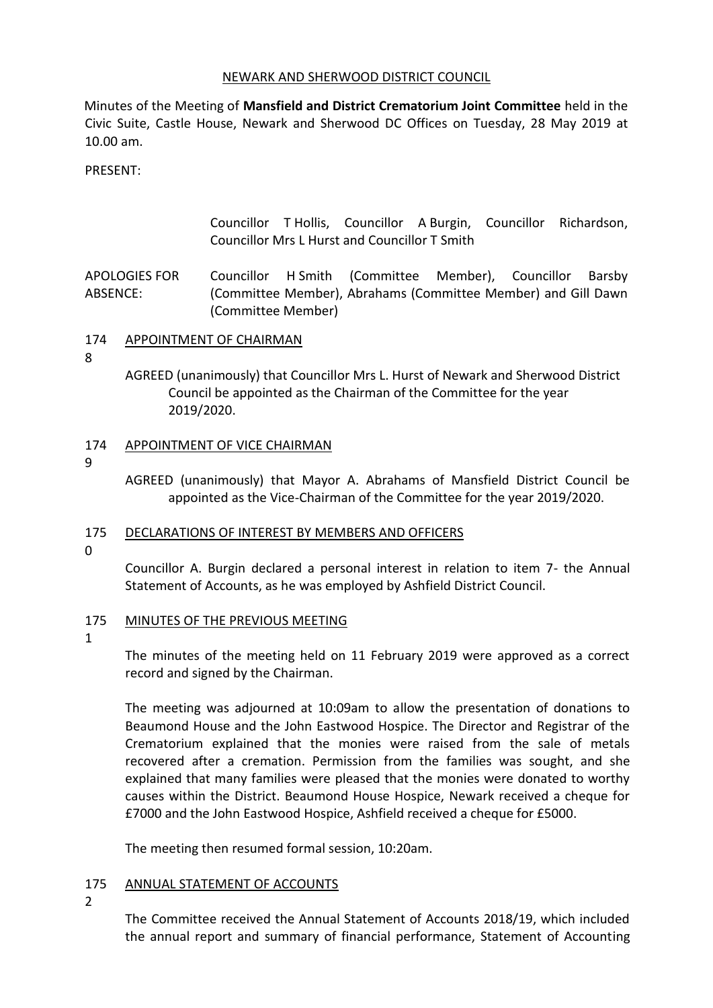## NEWARK AND SHERWOOD DISTRICT COUNCIL

Minutes of the Meeting of **Mansfield and District Crematorium Joint Committee** held in the Civic Suite, Castle House, Newark and Sherwood DC Offices on Tuesday, 28 May 2019 at 10.00 am.

PRESENT:

Councillor T Hollis, Councillor A Burgin, Councillor Richardson, Councillor Mrs L Hurst and Councillor T Smith

APOLOGIES FOR ABSENCE: Councillor H Smith (Committee Member), Councillor Barsby (Committee Member), Abrahams (Committee Member) and Gill Dawn (Committee Member)

## 174 APPOINTMENT OF CHAIRMAN

8

AGREED (unanimously) that Councillor Mrs L. Hurst of Newark and Sherwood District Council be appointed as the Chairman of the Committee for the year 2019/2020.

## 174 APPOINTMENT OF VICE CHAIRMAN

9

AGREED (unanimously) that Mayor A. Abrahams of Mansfield District Council be appointed as the Vice-Chairman of the Committee for the year 2019/2020.

## 175 DECLARATIONS OF INTEREST BY MEMBERS AND OFFICERS

 $\Omega$ 

Councillor A. Burgin declared a personal interest in relation to item 7- the Annual Statement of Accounts, as he was employed by Ashfield District Council.

## 175 MINUTES OF THE PREVIOUS MEETING

1

The minutes of the meeting held on 11 February 2019 were approved as a correct record and signed by the Chairman.

The meeting was adjourned at 10:09am to allow the presentation of donations to Beaumond House and the John Eastwood Hospice. The Director and Registrar of the Crematorium explained that the monies were raised from the sale of metals recovered after a cremation. Permission from the families was sought, and she explained that many families were pleased that the monies were donated to worthy causes within the District. Beaumond House Hospice, Newark received a cheque for £7000 and the John Eastwood Hospice, Ashfield received a cheque for £5000.

The meeting then resumed formal session, 10:20am.

## 175 ANNUAL STATEMENT OF ACCOUNTS

 $\mathfrak{D}$ 

The Committee received the Annual Statement of Accounts 2018/19, which included the annual report and summary of financial performance, Statement of Accounting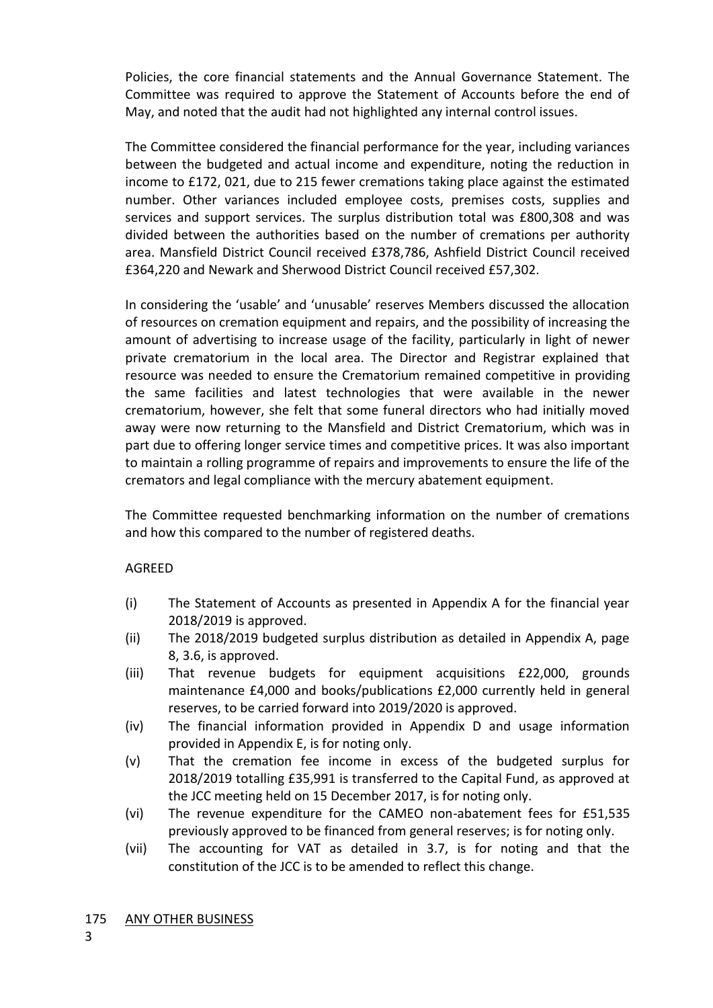Policies, the core financial statements and the Annual Governance Statement. The Committee was required to approve the Statement of Accounts before the end of May, and noted that the audit had not highlighted any internal control issues.

The Committee considered the financial performance for the year, including variances between the budgeted and actual income and expenditure, noting the reduction in income to £172, 021, due to 215 fewer cremations taking place against the estimated number. Other variances included employee costs, premises costs, supplies and services and support services. The surplus distribution total was £800,308 and was divided between the authorities based on the number of cremations per authority area. Mansfield District Council received £378,786, Ashfield District Council received £364,220 and Newark and Sherwood District Council received £57,302.

In considering the 'usable' and 'unusable' reserves Members discussed the allocation of resources on cremation equipment and repairs, and the possibility of increasing the amount of advertising to increase usage of the facility, particularly in light of newer private crematorium in the local area. The Director and Registrar explained that resource was needed to ensure the Crematorium remained competitive in providing the same facilities and latest technologies that were available in the newer crematorium, however, she felt that some funeral directors who had initially moved away were now returning to the Mansfield and District Crematorium, which was in part due to offering longer service times and competitive prices. It was also important to maintain a rolling programme of repairs and improvements to ensure the life of the cremators and legal compliance with the mercury abatement equipment.

The Committee requested benchmarking information on the number of cremations and how this compared to the number of registered deaths.

# AGREED

- (i) The Statement of Accounts as presented in Appendix A for the financial year 2018/2019 is approved.
- (ii) The 2018/2019 budgeted surplus distribution as detailed in Appendix A, page 8, 3.6, is approved.
- (iii) That revenue budgets for equipment acquisitions £22,000, grounds maintenance £4,000 and books/publications £2,000 currently held in general reserves, to be carried forward into 2019/2020 is approved.
- (iv) The financial information provided in Appendix D and usage information provided in Appendix E, is for noting only.
- (v) That the cremation fee income in excess of the budgeted surplus for 2018/2019 totalling £35,991 is transferred to the Capital Fund, as approved at the JCC meeting held on 15 December 2017, is for noting only.
- (vi) The revenue expenditure for the CAMEO non-abatement fees for £51,535 previously approved to be financed from general reserves; is for noting only.
- (vii) The accounting for VAT as detailed in 3.7, is for noting and that the constitution of the JCC is to be amended to reflect this change.

## 175 ANY OTHER BUSINESS